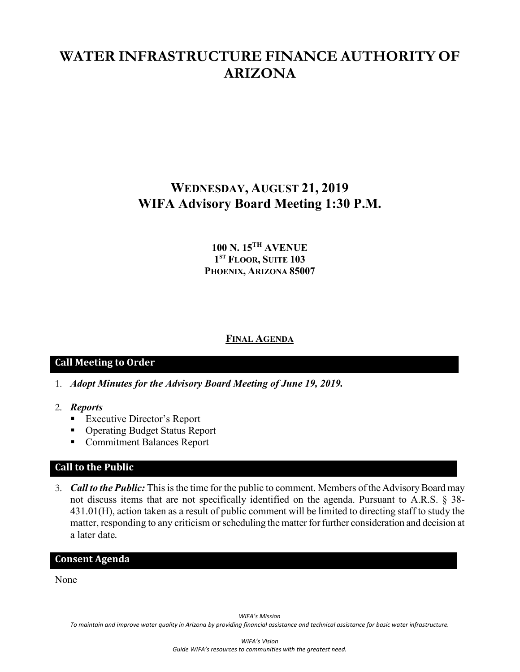# **WATER INFRASTRUCTURE FINANCE AUTHORITY OF ARIZONA**

# **WEDNESDAY, AUGUST 21, 2019 WIFA Advisory Board Meeting 1:30 P.M.**

## **100 N. 15TH AVENUE 1ST FLOOR, SUITE 103 PHOENIX, ARIZONA 85007**

#### **FINAL AGENDA**

### **Call Meeting to Order**

- 1. *Adopt Minutes for the Advisory Board Meeting of June 19, 2019.*
- 2. *Reports*
	- Executive Director's Report
	- Operating Budget Status Report
	- **Commitment Balances Report**

## **Call to the Public**

3. *Call to the Public:* This is the time for the public to comment. Members of the Advisory Board may not discuss items that are not specifically identified on the agenda. Pursuant to A.R.S. § 38- 431.01(H), action taken as a result of public comment will be limited to directing staff to study the matter, responding to any criticism or scheduling the matter for further consideration and decision at a later date.

#### **Consent Agenda**

None

*WIFA's Mission*

*To maintain and improve water quality in Arizona by providing financial assistance and technical assistance for basic water infrastructure.*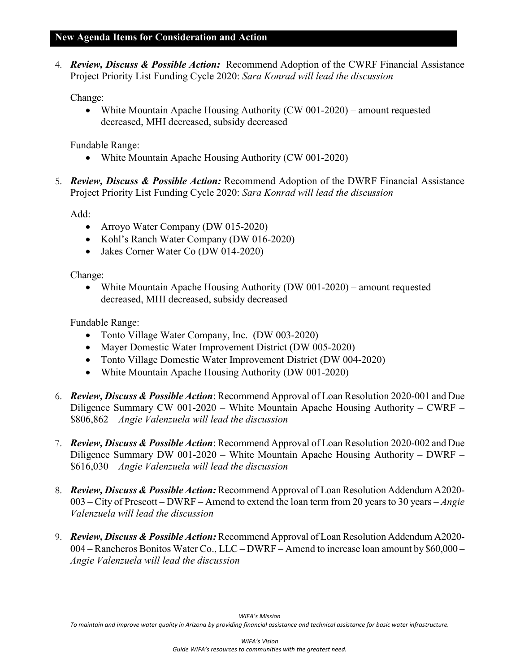#### **New Agenda Items for Consideration and Action**

4. *Review, Discuss & Possible Action:* Recommend Adoption of the CWRF Financial Assistance Project Priority List Funding Cycle 2020: *Sara Konrad will lead the discussion*

Change:

• White Mountain Apache Housing Authority (CW 001-2020) – amount requested decreased, MHI decreased, subsidy decreased

Fundable Range:

- White Mountain Apache Housing Authority (CW 001-2020)
- 5. *Review, Discuss & Possible Action:* Recommend Adoption of the DWRF Financial Assistance Project Priority List Funding Cycle 2020: *Sara Konrad will lead the discussion*

Add:

- Arroyo Water Company (DW 015-2020)
- Kohl's Ranch Water Company (DW 016-2020)
- Jakes Corner Water Co (DW 014-2020)

Change:

• White Mountain Apache Housing Authority (DW 001-2020) – amount requested decreased, MHI decreased, subsidy decreased

Fundable Range:

- Tonto Village Water Company, Inc. (DW 003-2020)
- Mayer Domestic Water Improvement District (DW 005-2020)
- Tonto Village Domestic Water Improvement District (DW 004-2020)
- White Mountain Apache Housing Authority (DW 001-2020)
- 6. *Review, Discuss & Possible Action*: Recommend Approval of Loan Resolution 2020-001 and Due Diligence Summary CW 001-2020 – White Mountain Apache Housing Authority – CWRF – \$806,862 – *Angie Valenzuela will lead the discussion*
- 7. *Review, Discuss & Possible Action*: Recommend Approval of Loan Resolution 2020-002 and Due Diligence Summary DW 001-2020 – White Mountain Apache Housing Authority – DWRF – \$616,030 – *Angie Valenzuela will lead the discussion*
- 8. *Review, Discuss & Possible Action:*Recommend Approval of Loan Resolution Addendum A2020- 003 – City of Prescott – DWRF – Amend to extend the loan term from 20 years to 30 years – *Angie Valenzuela will lead the discussion*
- 9. *Review, Discuss & Possible Action:*Recommend Approval of Loan Resolution Addendum A2020- 004 – Rancheros Bonitos Water Co., LLC – DWRF – Amend to increase loan amount by \$60,000 – *Angie Valenzuela will lead the discussion*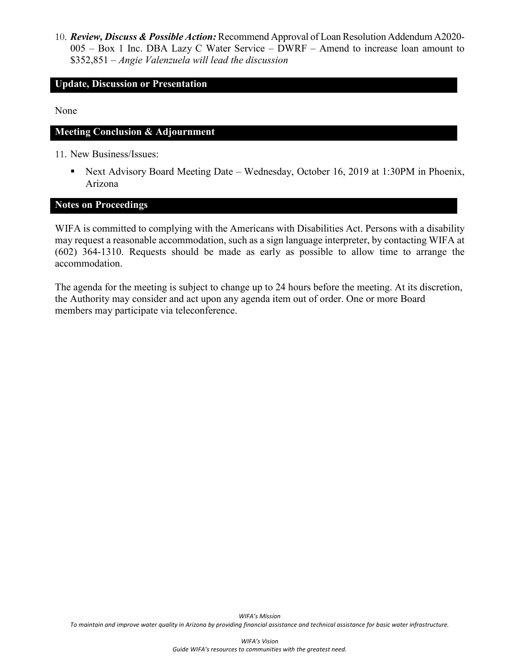10. *Review, Discuss & Possible Action:*Recommend Approval of Loan Resolution Addendum A2020- 005 – Box 1 Inc. DBA Lazy C Water Service – DWRF – Amend to increase loan amount to \$352,851 – *Angie Valenzuela will lead the discussion*

#### **Update, Discussion or Presentation**

None

#### **Meeting Conclusion & Adjournment**

11. New Business/Issues:

■ Next Advisory Board Meeting Date – Wednesday, October 16, 2019 at 1:30PM in Phoenix, Arizona

#### **Notes on Proceedings**

WIFA is committed to complying with the Americans with Disabilities Act. Persons with a disability may request a reasonable accommodation, such as a sign language interpreter, by contacting WIFA at (602) 364-1310. Requests should be made as early as possible to allow time to arrange the accommodation.

The agenda for the meeting is subject to change up to 24 hours before the meeting. At its discretion, the Authority may consider and act upon any agenda item out of order. One or more Board members may participate via teleconference.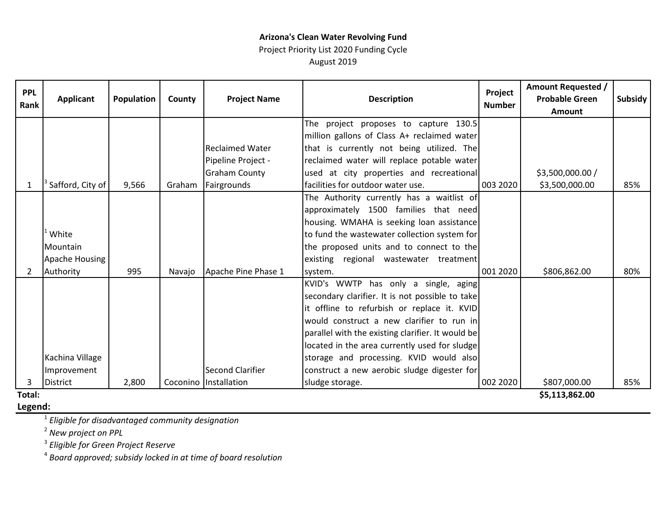# **Arizona's Clean Water Revolving Fund**

Project Priority List 2020 Funding Cycle August 2019

| <b>PPL</b><br>Rank | <b>Applicant</b> | <b>Population</b> | County | <b>Project Name</b>     | <b>Description</b>                                | Project<br><b>Number</b> | <b>Amount Requested /</b><br><b>Probable Green</b><br><b>Amount</b> | <b>Subsidy</b> |
|--------------------|------------------|-------------------|--------|-------------------------|---------------------------------------------------|--------------------------|---------------------------------------------------------------------|----------------|
|                    |                  |                   |        |                         | The project proposes to capture 130.5             |                          |                                                                     |                |
|                    |                  |                   |        |                         | million gallons of Class A+ reclaimed water       |                          |                                                                     |                |
|                    |                  |                   |        | <b>Reclaimed Water</b>  | that is currently not being utilized. The         |                          |                                                                     |                |
|                    |                  |                   |        | Pipeline Project -      | reclaimed water will replace potable water        |                          |                                                                     |                |
|                    |                  |                   |        | <b>Graham County</b>    | used at city properties and recreational          |                          | \$3,500,000.00 /                                                    |                |
| 1                  | Safford, City of | 9,566             |        | Graham Fairgrounds      | facilities for outdoor water use.                 | 003 2020                 | \$3,500,000.00                                                      | 85%            |
|                    |                  |                   |        |                         | The Authority currently has a waitlist of         |                          |                                                                     |                |
|                    |                  |                   |        |                         | approximately 1500 families that need             |                          |                                                                     |                |
|                    |                  |                   |        |                         | housing. WMAHA is seeking loan assistance         |                          |                                                                     |                |
|                    | White            |                   |        |                         | to fund the wastewater collection system for      |                          |                                                                     |                |
|                    | Mountain         |                   |        |                         | the proposed units and to connect to the          |                          |                                                                     |                |
|                    | Apache Housing   |                   |        |                         | existing regional wastewater treatment            |                          |                                                                     |                |
| 2                  | Authority        | 995               | Navajo | Apache Pine Phase 1     | system.                                           | 001 2020                 | \$806,862.00                                                        | 80%            |
|                    |                  |                   |        |                         | KVID's WWTP has only a single, aging              |                          |                                                                     |                |
|                    |                  |                   |        |                         | secondary clarifier. It is not possible to take   |                          |                                                                     |                |
|                    |                  |                   |        |                         | it offline to refurbish or replace it. KVID       |                          |                                                                     |                |
|                    |                  |                   |        |                         | would construct a new clarifier to run in         |                          |                                                                     |                |
|                    |                  |                   |        |                         | parallel with the existing clarifier. It would be |                          |                                                                     |                |
|                    |                  |                   |        |                         | located in the area currently used for sludge     |                          |                                                                     |                |
|                    | Kachina Village  |                   |        |                         | storage and processing. KVID would also           |                          |                                                                     |                |
|                    | Improvement      |                   |        | Second Clarifier        | construct a new aerobic sludge digester for       |                          |                                                                     |                |
| 3                  | <b>District</b>  | 2,800             |        | Coconino   Installation | sludge storage.                                   | 002 2020                 | \$807,000.00                                                        | 85%            |
| Total:             |                  |                   |        |                         |                                                   |                          | \$5,113,862,00                                                      |                |

**Legend:Total:**

**\$5,113,862.00** 

<sup>1</sup> *Eligible for disadvantaged community designation*

<sup>2</sup> *New project on PPL*

<sup>3</sup> *Eligible for Green Project Reserve*

<sup>4</sup> *Board approved; subsidy locked in at time of board resolution*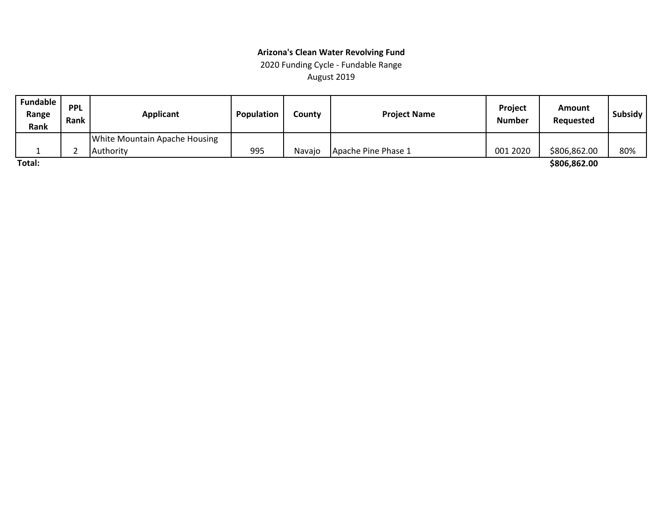#### **Arizona's Clean Water Revolving Fund** 2020 Funding Cycle - Fundable Range

August 2019

| <b>Fundable</b><br>Range<br>Rank | <b>PPL</b><br>Rank | <b>Applicant</b>              | <b>Population</b> | County | <b>Project Name</b> | <b>Project</b><br><b>Number</b> | Amount<br>Requested | Subsidy |
|----------------------------------|--------------------|-------------------------------|-------------------|--------|---------------------|---------------------------------|---------------------|---------|
|                                  |                    | White Mountain Apache Housing |                   |        |                     |                                 |                     |         |
|                                  |                    | <b>LAuthority</b>             | 995               | Navaio | Apache Pine Phase 1 | 001 2020                        | \$806,862.00        | 80%     |
| Total:                           |                    |                               |                   |        |                     |                                 | \$806,862.00        |         |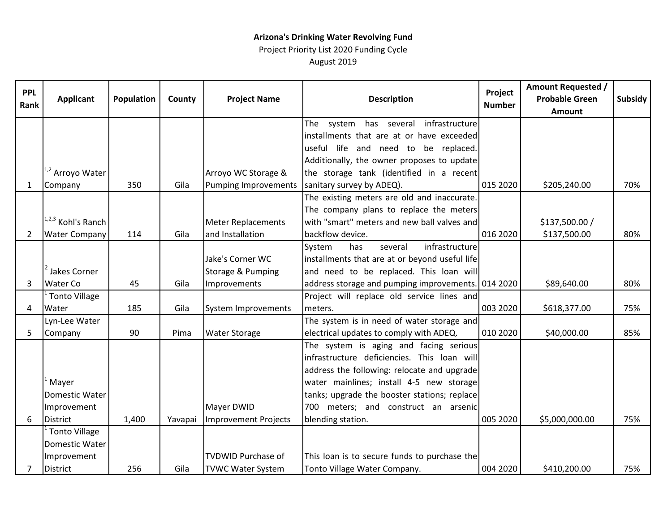## **Arizona's Drinking Water Revolving Fund**

Project Priority List 2020 Funding Cycle August 2019

| <b>PPL</b><br>Rank | <b>Applicant</b>            | Population | County  | <b>Project Name</b>         | <b>Description</b>                                 | Project<br><b>Number</b> | <b>Amount Requested /</b><br><b>Probable Green</b><br>Amount | Subsidy |
|--------------------|-----------------------------|------------|---------|-----------------------------|----------------------------------------------------|--------------------------|--------------------------------------------------------------|---------|
|                    |                             |            |         |                             | The system has several<br>infrastructure           |                          |                                                              |         |
|                    |                             |            |         |                             | installments that are at or have exceeded          |                          |                                                              |         |
|                    |                             |            |         |                             | useful life and need to be replaced.               |                          |                                                              |         |
|                    |                             |            |         |                             | Additionally, the owner proposes to update         |                          |                                                              |         |
|                    | <sup>1,2</sup> Arroyo Water |            |         | Arroyo WC Storage &         | the storage tank (identified in a recent           |                          |                                                              |         |
| 1                  | Company                     | 350        | Gila    | <b>Pumping Improvements</b> | sanitary survey by ADEQ).                          | 015 2020                 | \$205,240.00                                                 | 70%     |
|                    |                             |            |         |                             | The existing meters are old and inaccurate.        |                          |                                                              |         |
|                    |                             |            |         |                             | The company plans to replace the meters            |                          |                                                              |         |
|                    | 1,2,3 Kohl's Ranch          |            |         | <b>Meter Replacements</b>   | with "smart" meters and new ball valves and        |                          | \$137,500.00 /                                               |         |
| $\overline{2}$     | <b>Water Company</b>        | 114        | Gila    | and Installation            | backflow device.                                   | 016 2020                 | \$137,500.00                                                 | 80%     |
|                    |                             |            |         |                             | infrastructure<br>System<br>has<br>several         |                          |                                                              |         |
|                    |                             |            |         | Jake's Corner WC            | installments that are at or beyond useful life     |                          |                                                              |         |
|                    | <sup>2</sup> Jakes Corner   |            |         | Storage & Pumping           | and need to be replaced. This loan will            |                          |                                                              |         |
| 3                  | Water Co                    | 45         | Gila    | Improvements                | address storage and pumping improvements. 014 2020 |                          | \$89,640.00                                                  | 80%     |
|                    | Tonto Village               |            |         |                             | Project will replace old service lines and         |                          |                                                              |         |
| 4                  | Water                       | 185        | Gila    | <b>System Improvements</b>  | meters.                                            | 003 2020                 | \$618,377.00                                                 | 75%     |
|                    | Lyn-Lee Water               |            |         |                             | The system is in need of water storage and         |                          |                                                              |         |
| 5                  | Company                     | 90         | Pima    | <b>Water Storage</b>        | electrical updates to comply with ADEQ.            | 010 2020                 | \$40,000.00                                                  | 85%     |
|                    |                             |            |         |                             | The system is aging and facing serious             |                          |                                                              |         |
|                    |                             |            |         |                             | infrastructure deficiencies. This loan will        |                          |                                                              |         |
|                    |                             |            |         |                             | address the following: relocate and upgrade        |                          |                                                              |         |
|                    | <sup>'</sup> Mayer          |            |         |                             | water mainlines; install 4-5 new storage           |                          |                                                              |         |
|                    | Domestic Water              |            |         |                             | tanks; upgrade the booster stations; replace       |                          |                                                              |         |
|                    | Improvement                 |            |         | Mayer DWID                  | 700 meters; and construct an arsenic               |                          |                                                              |         |
| 6                  | <b>District</b>             | 1,400      | Yavapai | Improvement Projects        | blending station.                                  | 005 2020                 | \$5,000,000.00                                               | 75%     |
|                    | <sup>'</sup> Tonto Village  |            |         |                             |                                                    |                          |                                                              |         |
|                    | Domestic Water              |            |         |                             |                                                    |                          |                                                              |         |
|                    | Improvement                 |            |         | <b>TVDWID Purchase of</b>   | This loan is to secure funds to purchase the       |                          |                                                              |         |
| $\overline{7}$     | <b>District</b>             | 256        | Gila    | <b>TVWC Water System</b>    | Tonto Village Water Company.                       | 004 2020                 | \$410,200.00                                                 | 75%     |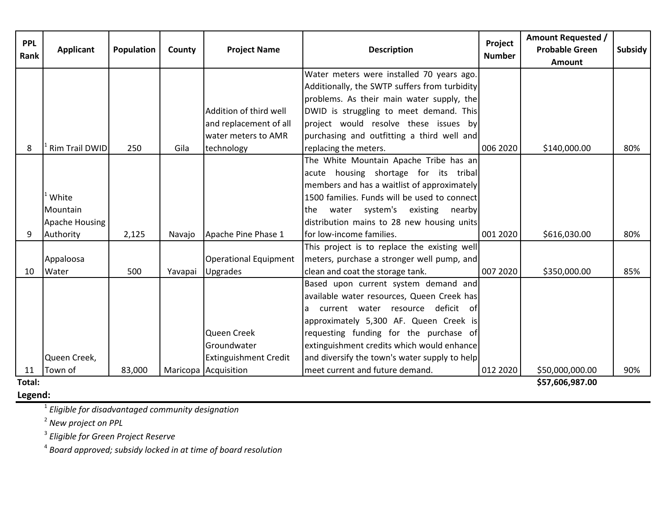| <b>PPL</b><br>Rank | <b>Applicant</b>      | Population | County  | <b>Project Name</b>          | <b>Description</b>                            | Project<br><b>Number</b> | <b>Amount Requested /</b><br><b>Probable Green</b><br><b>Amount</b> | Subsidy |
|--------------------|-----------------------|------------|---------|------------------------------|-----------------------------------------------|--------------------------|---------------------------------------------------------------------|---------|
|                    |                       |            |         |                              | Water meters were installed 70 years ago.     |                          |                                                                     |         |
|                    |                       |            |         |                              | Additionally, the SWTP suffers from turbidity |                          |                                                                     |         |
|                    |                       |            |         |                              | problems. As their main water supply, the     |                          |                                                                     |         |
|                    |                       |            |         | Addition of third well       | DWID is struggling to meet demand. This       |                          |                                                                     |         |
|                    |                       |            |         | and replacement of all       | project would resolve these issues by         |                          |                                                                     |         |
|                    |                       |            |         | water meters to AMR          | purchasing and outfitting a third well and    |                          |                                                                     |         |
| 8                  | <b>Rim Trail DWID</b> | 250        | Gila    | technology                   | replacing the meters.                         | 006 2020                 | \$140,000.00                                                        | 80%     |
|                    |                       |            |         |                              | The White Mountain Apache Tribe has an        |                          |                                                                     |         |
|                    |                       |            |         |                              | acute housing shortage for its tribal         |                          |                                                                     |         |
|                    |                       |            |         |                              | members and has a waitlist of approximately   |                          |                                                                     |         |
|                    | White                 |            |         |                              | 1500 families. Funds will be used to connect  |                          |                                                                     |         |
|                    | Mountain              |            |         |                              | water system's existing nearby<br>the         |                          |                                                                     |         |
|                    | Apache Housing        |            |         |                              | distribution mains to 28 new housing units    |                          |                                                                     |         |
| 9                  | Authority             | 2,125      | Navajo  | Apache Pine Phase 1          | for low-income families.                      | 001 2020                 | \$616,030.00                                                        | 80%     |
|                    |                       |            |         |                              | This project is to replace the existing well  |                          |                                                                     |         |
|                    | Appaloosa             |            |         | <b>Operational Equipment</b> | meters, purchase a stronger well pump, and    |                          |                                                                     |         |
| 10                 | Water                 | 500        | Yavapai | Upgrades                     | clean and coat the storage tank.              | 007 2020                 | \$350,000.00                                                        | 85%     |
|                    |                       |            |         |                              | Based upon current system demand and          |                          |                                                                     |         |
|                    |                       |            |         |                              | available water resources, Queen Creek has    |                          |                                                                     |         |
|                    |                       |            |         |                              | current water resource deficit of<br>la.      |                          |                                                                     |         |
|                    |                       |            |         |                              | approximately 5,300 AF. Queen Creek is        |                          |                                                                     |         |
|                    |                       |            |         | Queen Creek                  | requesting funding for the purchase of        |                          |                                                                     |         |
|                    |                       |            |         | Groundwater                  | extinguishment credits which would enhance    |                          |                                                                     |         |
|                    | Queen Creek,          |            |         | <b>Extinguishment Credit</b> | and diversify the town's water supply to help |                          |                                                                     |         |
| 11                 | Town of               | 83,000     |         | Maricopa Acquisition         | meet current and future demand.               | 012 2020                 | \$50,000,000.00                                                     | 90%     |
| Total:             |                       |            |         |                              |                                               |                          | \$57,606,987.00                                                     |         |

**Legend:**

<sup>1</sup> *Eligible for disadvantaged community designation*

<sup>2</sup> *New project on PPL*

<sup>3</sup> *Eligible for Green Project Reserve*

<sup>4</sup> *Board approved; subsidy locked in at time of board resolution*